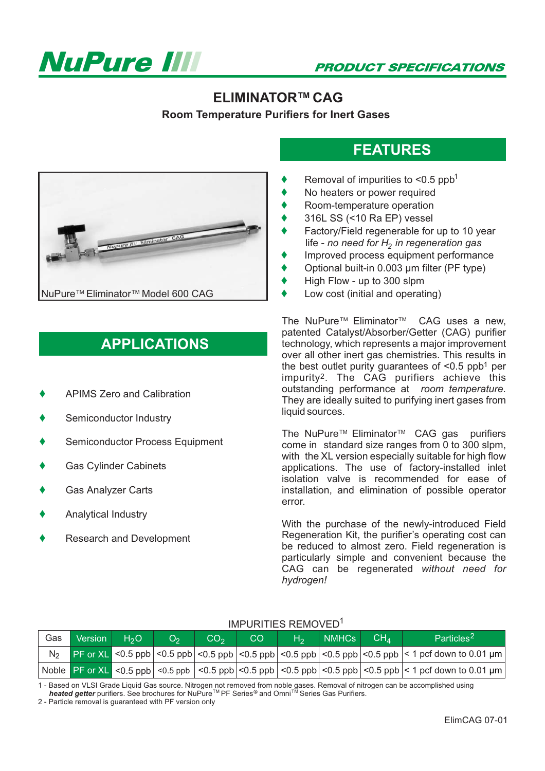

#### **ELIMINATOR™ CAG**

**Room Temperature Purifiers for Inert Gases**

# **FEATURES**

- $\blacklozenge$ Removal of impurities to  $\leq 0.5$  ppb<sup>1</sup>
- $\blacklozenge$ No heaters or power required
- $\blacklozenge$ Room-temperature operation
- $\blacklozenge$ 316L SS (<10 Ra EP) vessel
- $\blacklozenge$ Factory/Field regenerable for up to 10 year life - no need for H<sub>2</sub> in regeneration gas
- $\blacklozenge$ Improved process equipment performance
- $\blacklozenge$ Optional built-in 0.003 µm filter (PF type)
- $\blacklozenge$ High Flow - up to 300 slpm
- $\blacklozenge$ Low cost (initial and operating)

The NuPure™ Eliminator<sup>™</sup> CAG uses a new. patented Catalyst/Absorber/Getter (CAG) purifier technology, which represents a major improvement over all other inert gas chemistries. This results in the best outlet purity quarantees of  $\leq 0.5$  ppb<sup>1</sup> per impurity<sup>2</sup>. The CAG purifiers achieve this outstanding performance at *room temperature.* They are ideally suited to purifying inert gases from liquid sources.

The NuPure<sup>™</sup> Eliminator<sup>™</sup> CAG gas purifiers come in standard size ranges from 0 to 300 slpm, with the XL version especially suitable for high flow applications. The use of factory-installed inlet isolation valve is recommended for ease of installation, and elimination of possible operator error.

With the purchase of the newly-introduced Field Regeneration Kit, the purifier's operating cost can be reduced to almost zero. Field regeneration is particularly simple and convenient because the CAG can be regenerated *without need for hydrogen!*



#### IMPURITIES REMOVED1

1 - Based on VLSI Grade Liquid Gas source. Nitrogen not removed from noble gases. Removal of nitrogen can be accomplished using **heated getter** purifiers. See brochures for NuPure<sup>™</sup> PF Series<sup>®</sup> and Omni<sup>™</sup> Series Gas Purifiers.

2 - Particle removal is guaranteed with PF version only



## **APPLICATIONS**

- $\blacklozenge$ APIMS Zero and Calibration
- $\blacklozenge$ Semiconductor Industry
- $\blacklozenge$ Semiconductor Process Equipment
- $\blacklozenge$ Gas Cylinder Cabinets
- $\blacklozenge$ Gas Analyzer Carts
- $\blacklozenge$ Analytical Industry
- $\blacklozenge$ Research and Development